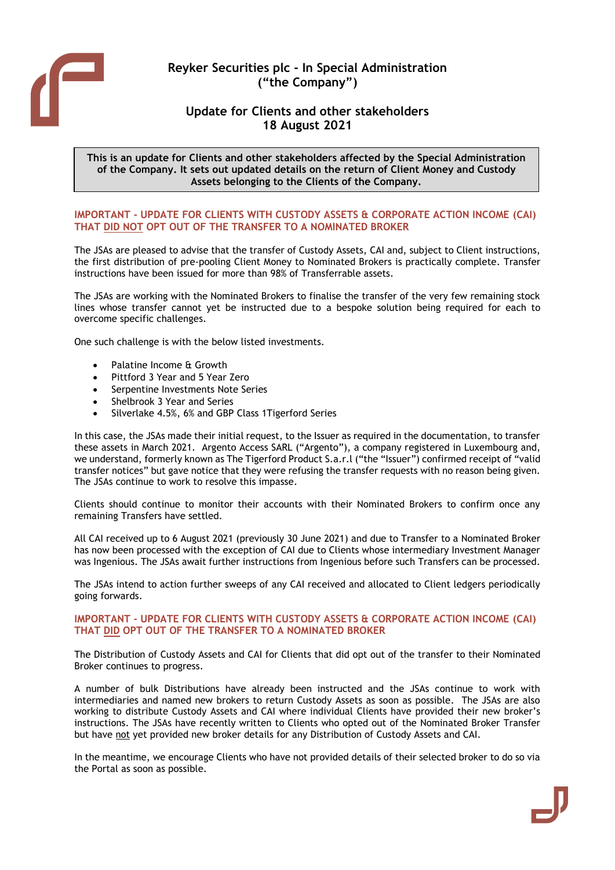

# **Reyker Securities plc - In Special Administration ("the Company")**

## **Update for Clients and other stakeholders 18 August 2021**

**This is an update for Clients and other stakeholders affected by the Special Administration of the Company. It sets out updated details on the return of Client Money and Custody Assets belonging to the Clients of the Company.**

## **IMPORTANT - UPDATE FOR CLIENTS WITH CUSTODY ASSETS & CORPORATE ACTION INCOME (CAI) THAT DID NOT OPT OUT OF THE TRANSFER TO A NOMINATED BROKER**

The JSAs are pleased to advise that the transfer of Custody Assets, CAI and, subject to Client instructions, the first distribution of pre-pooling Client Money to Nominated Brokers is practically complete. Transfer instructions have been issued for more than 98% of Transferrable assets.

The JSAs are working with the Nominated Brokers to finalise the transfer of the very few remaining stock lines whose transfer cannot yet be instructed due to a bespoke solution being required for each to overcome specific challenges.

One such challenge is with the below listed investments.

- Palatine Income & Growth
- Pittford 3 Year and 5 Year Zero
- Serpentine Investments Note Series
- Shelbrook 3 Year and Series
- Silverlake 4.5%, 6% and GBP Class 1Tigerford Series

In this case, the JSAs made their initial request, to the Issuer as required in the documentation, to transfer these assets in March 2021. Argento Access SARL ("Argento"), a company registered in Luxembourg and, we understand, formerly known as The Tigerford Product S.a.r.l ("the "Issuer") confirmed receipt of "valid transfer notices" but gave notice that they were refusing the transfer requests with no reason being given. The JSAs continue to work to resolve this impasse.

Clients should continue to monitor their accounts with their Nominated Brokers to confirm once any remaining Transfers have settled.

All CAI received up to 6 August 2021 (previously 30 June 2021) and due to Transfer to a Nominated Broker has now been processed with the exception of CAI due to Clients whose intermediary Investment Manager was Ingenious. The JSAs await further instructions from Ingenious before such Transfers can be processed.

The JSAs intend to action further sweeps of any CAI received and allocated to Client ledgers periodically going forwards.

## **IMPORTANT - UPDATE FOR CLIENTS WITH CUSTODY ASSETS & CORPORATE ACTION INCOME (CAI) THAT DID OPT OUT OF THE TRANSFER TO A NOMINATED BROKER**

The Distribution of Custody Assets and CAI for Clients that did opt out of the transfer to their Nominated Broker continues to progress.

A number of bulk Distributions have already been instructed and the JSAs continue to work with intermediaries and named new brokers to return Custody Assets as soon as possible. The JSAs are also working to distribute Custody Assets and CAI where individual Clients have provided their new broker's instructions. The JSAs have recently written to Clients who opted out of the Nominated Broker Transfer but have not yet provided new broker details for any Distribution of Custody Assets and CAI.

In the meantime, we encourage Clients who have not provided details of their selected broker to do so via the Portal as soon as possible.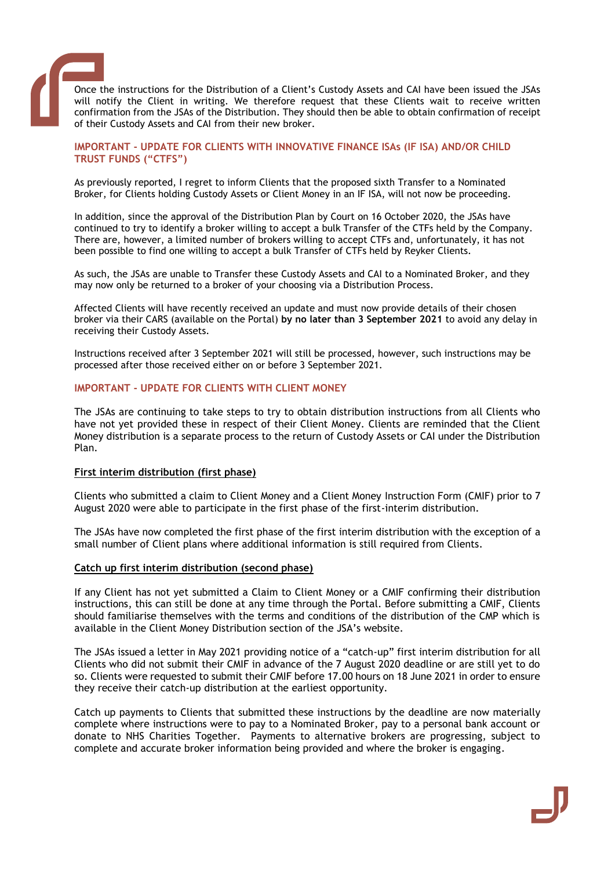

Once the instructions for the Distribution of a Client's Custody Assets and CAI have been issued the JSAs will notify the Client in writing. We therefore request that these Clients wait to receive written confirmation from the JSAs of the Distribution. They should then be able to obtain confirmation of receipt of their Custody Assets and CAI from their new broker.

## **IMPORTANT - UPDATE FOR CLIENTS WITH INNOVATIVE FINANCE ISAs (IF ISA) AND/OR CHILD TRUST FUNDS ("CTFS")**

As previously reported, I regret to inform Clients that the proposed sixth Transfer to a Nominated Broker, for Clients holding Custody Assets or Client Money in an IF ISA, will not now be proceeding.

In addition, since the approval of the Distribution Plan by Court on 16 October 2020, the JSAs have continued to try to identify a broker willing to accept a bulk Transfer of the CTFs held by the Company. There are, however, a limited number of brokers willing to accept CTFs and, unfortunately, it has not been possible to find one willing to accept a bulk Transfer of CTFs held by Reyker Clients.

As such, the JSAs are unable to Transfer these Custody Assets and CAI to a Nominated Broker, and they may now only be returned to a broker of your choosing via a Distribution Process.

Affected Clients will have recently received an update and must now provide details of their chosen broker via their CARS (available on the Portal) **by no later than 3 September 2021** to avoid any delay in receiving their Custody Assets.

Instructions received after 3 September 2021 will still be processed, however, such instructions may be processed after those received either on or before 3 September 2021.

## **IMPORTANT - UPDATE FOR CLIENTS WITH CLIENT MONEY**

The JSAs are continuing to take steps to try to obtain distribution instructions from all Clients who have not yet provided these in respect of their Client Money. Clients are reminded that the Client Money distribution is a separate process to the return of Custody Assets or CAI under the Distribution Plan.

## **First interim distribution (first phase)**

Clients who submitted a claim to Client Money and a Client Money Instruction Form (CMIF) prior to 7 August 2020 were able to participate in the first phase of the first-interim distribution.

The JSAs have now completed the first phase of the first interim distribution with the exception of a small number of Client plans where additional information is still required from Clients.

## **Catch up first interim distribution (second phase)**

If any Client has not yet submitted a Claim to Client Money or a CMIF confirming their distribution instructions, this can still be done at any time through the Portal. Before submitting a CMIF, Clients should familiarise themselves with the terms and conditions of the distribution of the CMP which is available in the Client Money Distribution section of the JSA's website.

The JSAs issued a letter in May 2021 providing notice of a "catch-up" first interim distribution for all Clients who did not submit their CMIF in advance of the 7 August 2020 deadline or are still yet to do so. Clients were requested to submit their CMIF before 17.00 hours on 18 June 2021 in order to ensure they receive their catch-up distribution at the earliest opportunity.

Catch up payments to Clients that submitted these instructions by the deadline are now materially complete where instructions were to pay to a Nominated Broker, pay to a personal bank account or donate to NHS Charities Together. Payments to alternative brokers are progressing, subject to complete and accurate broker information being provided and where the broker is engaging.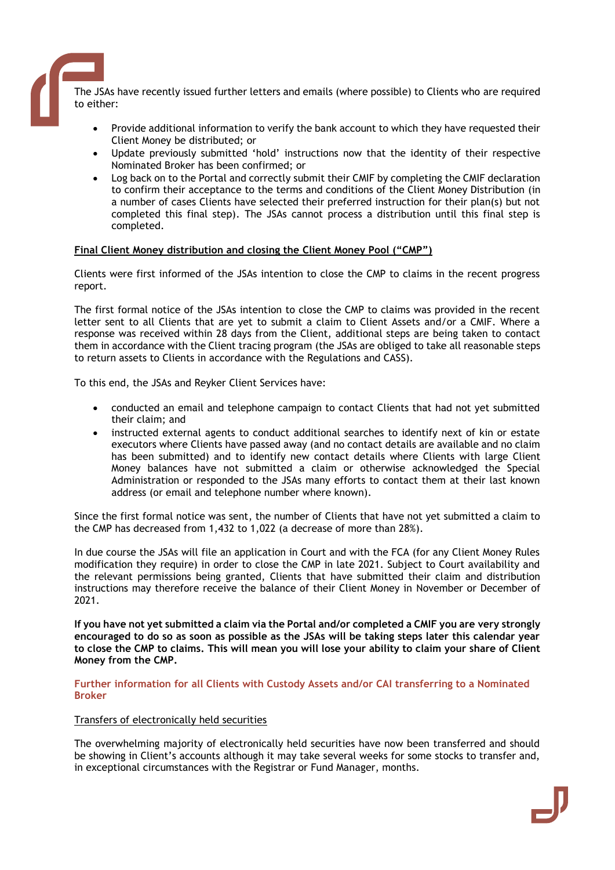The JSAs have recently issued further letters and emails (where possible) to Clients who are required to either:

- Provide additional information to verify the bank account to which they have requested their Client Money be distributed; or
- Update previously submitted 'hold' instructions now that the identity of their respective Nominated Broker has been confirmed; or
- Log back on to the Portal and correctly submit their CMIF by completing the CMIF declaration to confirm their acceptance to the terms and conditions of the Client Money Distribution (in a number of cases Clients have selected their preferred instruction for their plan(s) but not completed this final step). The JSAs cannot process a distribution until this final step is completed.

## **Final Client Money distribution and closing the Client Money Pool ("CMP")**

Clients were first informed of the JSAs intention to close the CMP to claims in the recent progress report.

The first formal notice of the JSAs intention to close the CMP to claims was provided in the recent letter sent to all Clients that are yet to submit a claim to Client Assets and/or a CMIF. Where a response was received within 28 days from the Client, additional steps are being taken to contact them in accordance with the Client tracing program (the JSAs are obliged to take all reasonable steps to return assets to Clients in accordance with the Regulations and CASS).

To this end, the JSAs and Reyker Client Services have:

- conducted an email and telephone campaign to contact Clients that had not yet submitted their claim; and
- instructed external agents to conduct additional searches to identify next of kin or estate executors where Clients have passed away (and no contact details are available and no claim has been submitted) and to identify new contact details where Clients with large Client Money balances have not submitted a claim or otherwise acknowledged the Special Administration or responded to the JSAs many efforts to contact them at their last known address (or email and telephone number where known).

Since the first formal notice was sent, the number of Clients that have not yet submitted a claim to the CMP has decreased from 1,432 to 1,022 (a decrease of more than 28%).

In due course the JSAs will file an application in Court and with the FCA (for any Client Money Rules modification they require) in order to close the CMP in late 2021. Subject to Court availability and the relevant permissions being granted, Clients that have submitted their claim and distribution instructions may therefore receive the balance of their Client Money in November or December of 2021.

**If you have not yet submitted a claim via the Portal and/or completed a CMIF you are very strongly encouraged to do so as soon as possible as the JSAs will be taking steps later this calendar year to close the CMP to claims. This will mean you will lose your ability to claim your share of Client Money from the CMP.**

**Further information for all Clients with Custody Assets and/or CAI transferring to a Nominated Broker** 

## Transfers of electronically held securities

The overwhelming majority of electronically held securities have now been transferred and should be showing in Client's accounts although it may take several weeks for some stocks to transfer and, in exceptional circumstances with the Registrar or Fund Manager, months.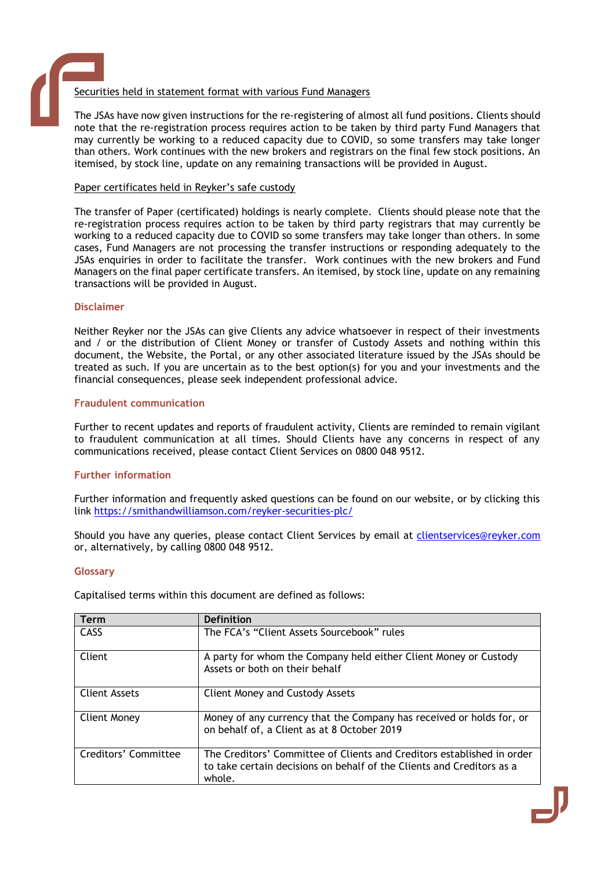## Securities held in statement format with various Fund Managers

The JSAs have now given instructions for the re-registering of almost all fund positions. Clients should note that the re-registration process requires action to be taken by third party Fund Managers that may currently be working to a reduced capacity due to COVID, so some transfers may take longer than others. Work continues with the new brokers and registrars on the final few stock positions. An itemised, by stock line, update on any remaining transactions will be provided in August.

## Paper certificates held in Reyker's safe custody

The transfer of Paper (certificated) holdings is nearly complete. Clients should please note that the re-registration process requires action to be taken by third party registrars that may currently be working to a reduced capacity due to COVID so some transfers may take longer than others. In some cases, Fund Managers are not processing the transfer instructions or responding adequately to the JSAs enquiries in order to facilitate the transfer. Work continues with the new brokers and Fund Managers on the final paper certificate transfers. An itemised, by stock line, update on any remaining transactions will be provided in August.

## **Disclaimer**

Neither Reyker nor the JSAs can give Clients any advice whatsoever in respect of their investments and / or the distribution of Client Money or transfer of Custody Assets and nothing within this document, the Website, the Portal, or any other associated literature issued by the JSAs should be treated as such. If you are uncertain as to the best option(s) for you and your investments and the financial consequences, please seek independent professional advice.

## **Fraudulent communication**

Further to recent updates and reports of fraudulent activity, Clients are reminded to remain vigilant to fraudulent communication at all times. Should Clients have any concerns in respect of any communications received, please contact Client Services on 0800 048 9512.

## **Further information**

Further information and frequently asked questions can be found on our website, or by clicking this link <https://smithandwilliamson.com/reyker-securities-plc/>

Should you have any queries, please contact Client Services by email at [clientservices@reyker.com](mailto:clientservices@reyker.com) or, alternatively, by calling 0800 048 9512.

## **Glossary**

Capitalised terms within this document are defined as follows:

| <b>Term</b>          | <b>Definition</b>                                                                                                                                         |
|----------------------|-----------------------------------------------------------------------------------------------------------------------------------------------------------|
| CASS                 | The FCA's "Client Assets Sourcebook" rules                                                                                                                |
| Client               | A party for whom the Company held either Client Money or Custody<br>Assets or both on their behalf                                                        |
| Client Assets        | <b>Client Money and Custody Assets</b>                                                                                                                    |
| Client Money         | Money of any currency that the Company has received or holds for, or<br>on behalf of, a Client as at 8 October 2019                                       |
| Creditors' Committee | The Creditors' Committee of Clients and Creditors established in order<br>to take certain decisions on behalf of the Clients and Creditors as a<br>whole. |